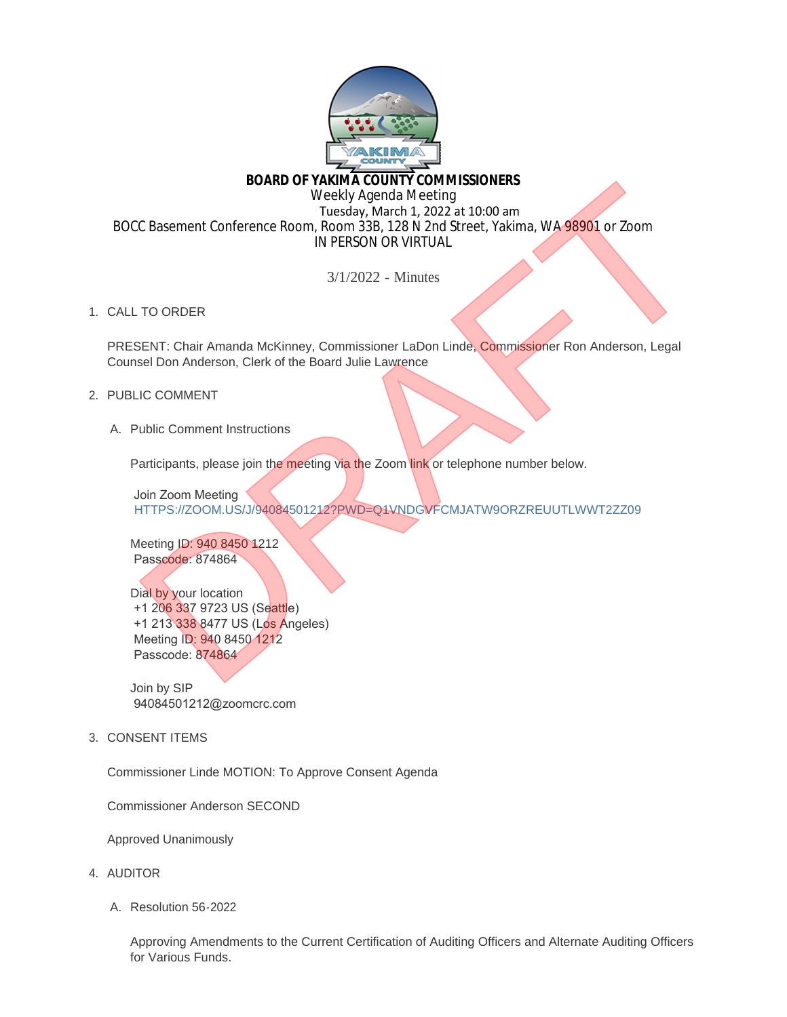

# **BOARD OF YAKIMA COUNTY COMMISSIONERS**

Weekly Agenda Meeting Tuesday, March 1, 2022 at 10:00 am BOCC Basement Conference Room, Room 33B, 128 N 2nd Street, Yakima, WA 98901 or Zoom IN PERSON OR VIRTUAL BOARD OF VACKING COUNTY COMMISSIONERS<br>
Treaday, March 1, 2022 at 10:00 am<br>
TRESCON OR VIRTUAL<br>
TC Basement Conference Room, Room 33B, 128 N 2nd Street, Yakima, WA 98901 or Zoom<br>
IN PERSON OR VIRTUAL<br>
3/1/2022 - Minutes<br>
TO

3/1/2022 - Minutes

1. CALL TO ORDER

PRESENT: Chair Amanda McKinney, Commissioner LaDon Linde, Commissioner Ron Anderson, Legal Counsel Don Anderson, Clerk of the Board Julie Lawrence

## 2. PUBLIC COMMENT

A. Public Comment Instructions

Participants, please join the meeting via the Zoom link or telephone number below.

 Join Zoom Meeting HTTPS://ZOOM.US/J/94084501212?PWD=Q1VNDGVFCMJATW9ORZREUUTLWWT2ZZ09

Meeting ID: 940 8450 1212 Passcode: 874864

Dial by your location +1 206 337 9723 US (Seattle) +1 213 338 8477 US (Los Angeles) Meeting ID: 940 8450 1212 Passcode: 874864

Join by SIP 94084501212@zoomcrc.com

3. CONSENT ITEMS

Commissioner Linde MOTION: To Approve Consent Agenda

Commissioner Anderson SECOND

Approved Unanimously

- 4. AUDITOR
	- Resolution 56-2022 A.

Approving Amendments to the Current Certification of Auditing Officers and Alternate Auditing Officers for Various Funds.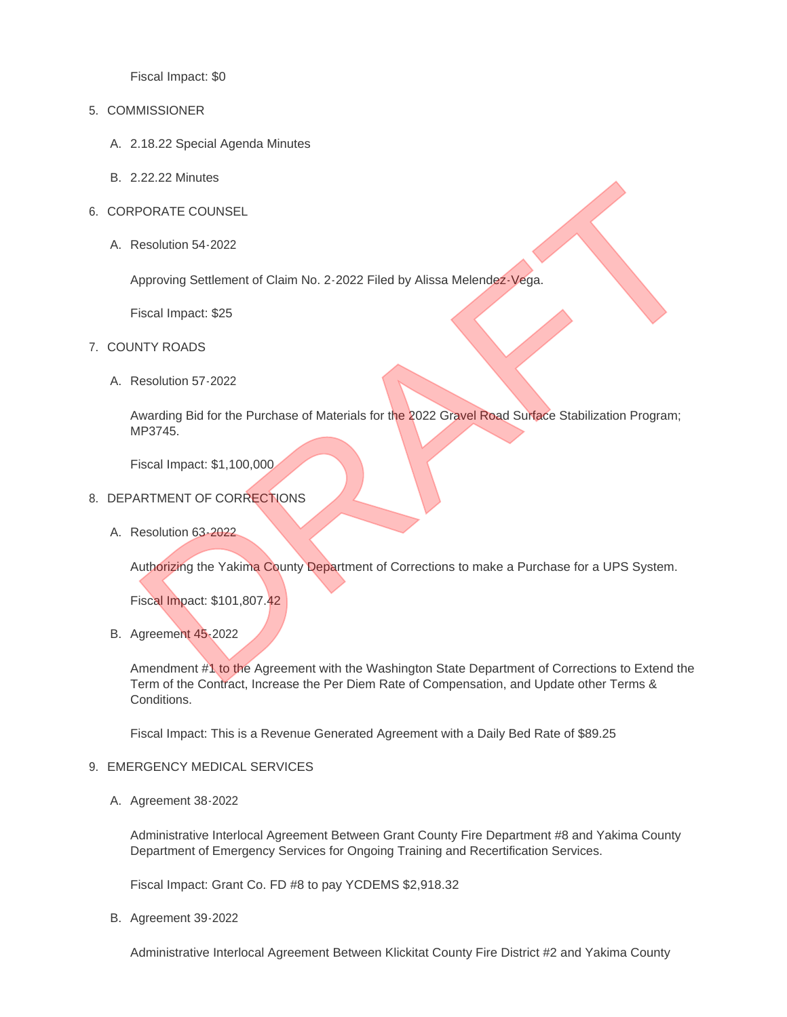Fiscal Impact: \$0

### 5. COMMISSIONER

- 2.18.22 Special Agenda Minutes A.
- 2.22.22 Minutes B.
- 6. CORPORATE COUNSEL
	- A. Resolution 54-2022

Approving Settlement of Claim No. 2-2022 Filed by Alissa Melendez-Vega.

Fiscal Impact: \$25

- 7. COUNTY ROADS
	- A. Resolution 57-2022

Awarding Bid for the Purchase of Materials for the 2022 Gravel Road Surface Stabilization Program; MP3745. EXAMPLE COUNSEL<br>
Resolution 54-2022<br>
Approving Settlement of Claim No. 2-2022 Filed by Alissa Melendez-Vega.<br>
Fiscal Impact: \$25<br>
Siscal Impact: \$1,100,000<br>
NRTMENT OF CORRECTIONS<br>
RESOLUtion 63-2022<br>
Nesolution 63-2022<br>
N

Fiscal Impact: \$1,100,000

- 8. DEPARTMENT OF CORRECTIONS
	- A. Resolution 63-2022

Authorizing the Yakima County Department of Corrections to make a Purchase for a UPS System.

Fiscal Impact: \$101,807.42

B. Agreement 45-2022

Amendment #1 to the Agreement with the Washington State Department of Corrections to Extend the Term of the Contract, Increase the Per Diem Rate of Compensation, and Update other Terms & Conditions.

Fiscal Impact: This is a Revenue Generated Agreement with a Daily Bed Rate of \$89.25

#### 9. EMERGENCY MEDICAL SERVICES

A. Agreement 38-2022

Administrative Interlocal Agreement Between Grant County Fire Department #8 and Yakima County Department of Emergency Services for Ongoing Training and Recertification Services.

Fiscal Impact: Grant Co. FD #8 to pay YCDEMS \$2,918.32

B. Agreement 39-2022

Administrative Interlocal Agreement Between Klickitat County Fire District #2 and Yakima County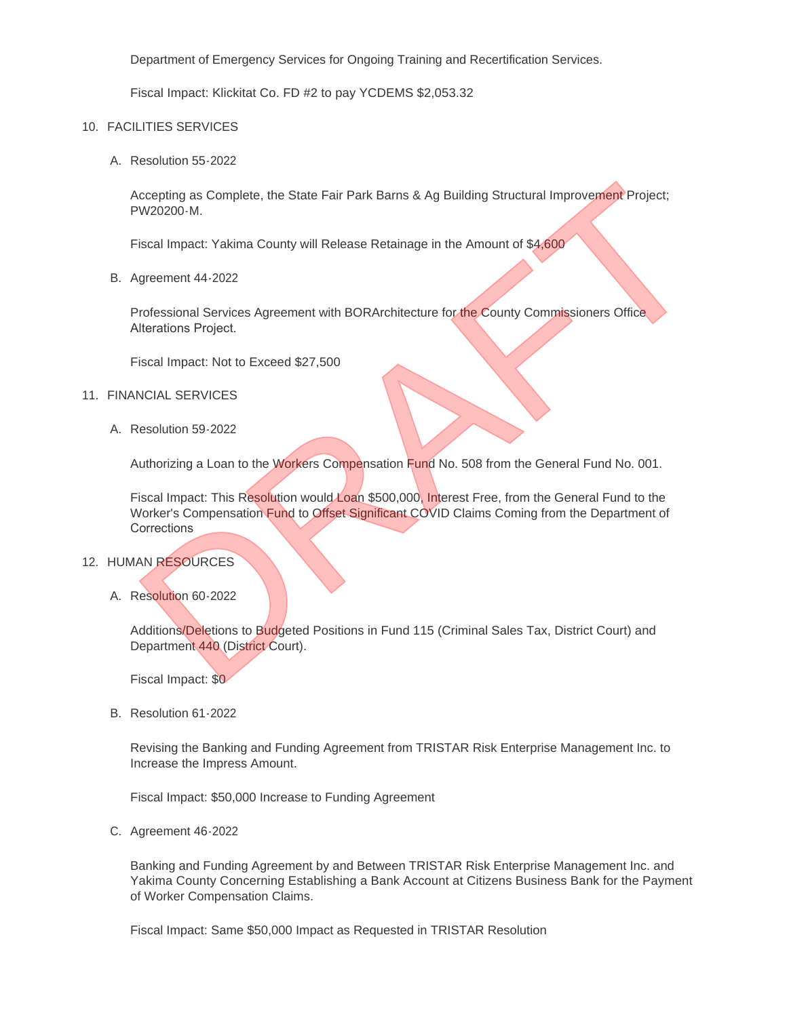Department of Emergency Services for Ongoing Training and Recertification Services.

Fiscal Impact: Klickitat Co. FD #2 to pay YCDEMS \$2,053.32

#### FACILITIES SERVICES 10.

A. Resolution 55-2022

Accepting as Complete, the State Fair Park Barns & Ag Building Structural Improvement Project; PW20200-M.

Fiscal Impact: Yakima County will Release Retainage in the Amount of \$4,600

B. Agreement 44-2022

Professional Services Agreement with BORArchitecture for the County Commissioners Office Alterations Project.

Fiscal Impact: Not to Exceed \$27,500

#### 11. FINANCIAL SERVICES

A. Resolution 59-2022

Authorizing a Loan to the Workers Compensation Fund No. 508 from the General Fund No. 001.

Fiscal Impact: This Resolution would Loan \$500,000, Interest Free, from the General Fund to the Worker's Compensation Fund to Offset Significant COVID Claims Coming from the Department of Corrections Comparison and Complete, the State Fair Park Barns & Ag Building Structural Improvement Project;<br>PW20200-M.<br>Siscal Impact: Yakima County will Release Retainage in the Amount of \$4,600<br>Siscal Impact: Yakima County will Rele

#### 12. HUMAN RESOURCES

A. Resolution 60-2022

Additions/Deletions to Budgeted Positions in Fund 115 (Criminal Sales Tax, District Court) and Department 440 (District Court).

Fiscal Impact: \$0

B. Resolution 61-2022

Revising the Banking and Funding Agreement from TRISTAR Risk Enterprise Management Inc. to Increase the Impress Amount.

Fiscal Impact: \$50,000 Increase to Funding Agreement

C. Agreement 46-2022

Banking and Funding Agreement by and Between TRISTAR Risk Enterprise Management Inc. and Yakima County Concerning Establishing a Bank Account at Citizens Business Bank for the Payment of Worker Compensation Claims.

Fiscal Impact: Same \$50,000 Impact as Requested in TRISTAR Resolution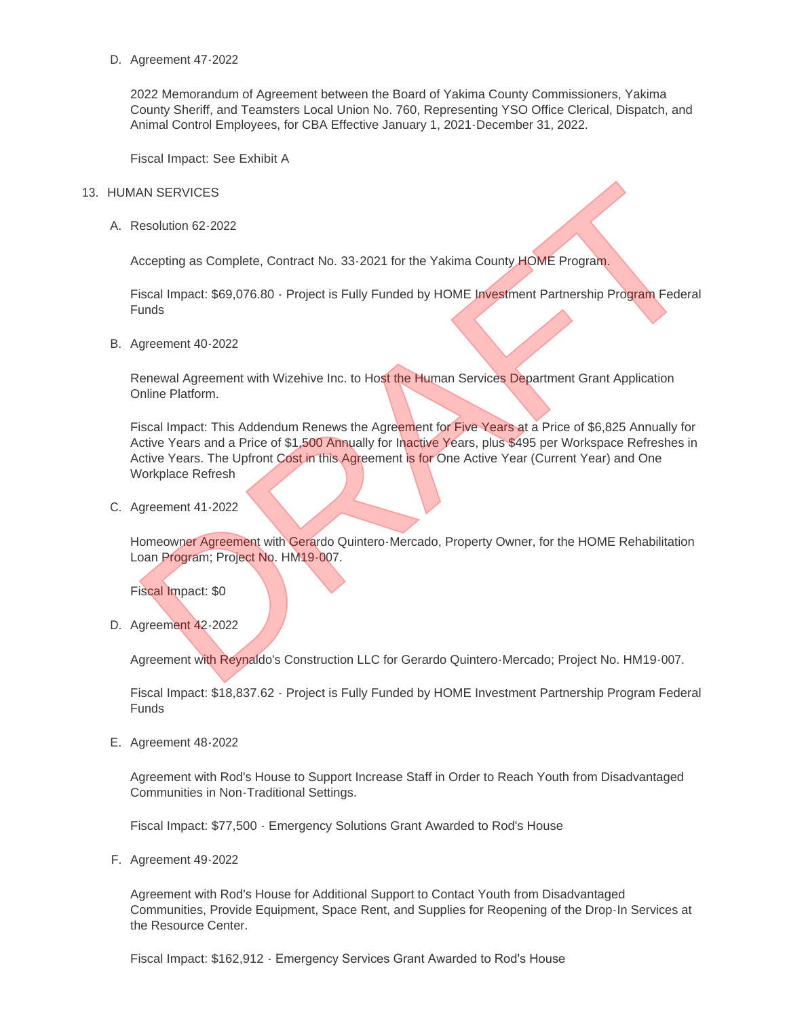D. Agreement 47-2022

2022 Memorandum of Agreement between the Board of Yakima County Commissioners, Yakima County Sheriff, and Teamsters Local Union No. 760, Representing YSO Office Clerical, Dispatch, and Animal Control Employees, for CBA Effective January 1, 2021-December 31, 2022.

Fiscal Impact: See Exhibit A

#### 13. HUMAN SERVICES

A. Resolution 62-2022

Accepting as Complete, Contract No. 33-2021 for the Yakima County HOME Program.

Fiscal Impact: \$69,076.80 - Project is Fully Funded by HOME Investment Partnership Program Federal **Funds** 

B. Agreement 40-2022

Renewal Agreement with Wizehive Inc. to Host the Human Services Department Grant Application Online Platform.

Fiscal Impact: This Addendum Renews the Agreement for Five Years at a Price of \$6,825 Annually for Active Years and a Price of \$1,500 Annually for Inactive Years, plus \$495 per Workspace Refreshes in Active Years. The Upfront Cost in this Agreement is for One Active Year (Current Year) and One Workplace Refresh Resolution 62-2022<br>Resolution 62-2022<br>Resolution 62-2022<br>Wenever Contract No. 33-2021 for the Yakima County HOME Program,<br>Fiscal Impact: 569,076.80 - Project is Fully Funded by HOME Investment Partnership Program Federal<br>V

C. Agreement 41-2022

Homeowner Agreement with Gerardo Quintero-Mercado, Property Owner, for the HOME Rehabilitation Loan Program; Project No. HM19-007.

Fiscal Impact: \$0

D. Agreement 42-2022

Agreement with Reynaldo's Construction LLC for Gerardo Quintero-Mercado; Project No. HM19-007.

Fiscal Impact: \$18,837.62 - Project is Fully Funded by HOME Investment Partnership Program Federal Funds

E. Agreement 48-2022

Agreement with Rod's House to Support Increase Staff in Order to Reach Youth from Disadvantaged Communities in Non-Traditional Settings.

Fiscal Impact: \$77,500 - Emergency Solutions Grant Awarded to Rod's House

F. Agreement 49-2022

Agreement with Rod's House for Additional Support to Contact Youth from Disadvantaged Communities, Provide Equipment, Space Rent, and Supplies for Reopening of the Drop-In Services at the Resource Center.

Fiscal Impact: \$162,912 - Emergency Services Grant Awarded to Rod's House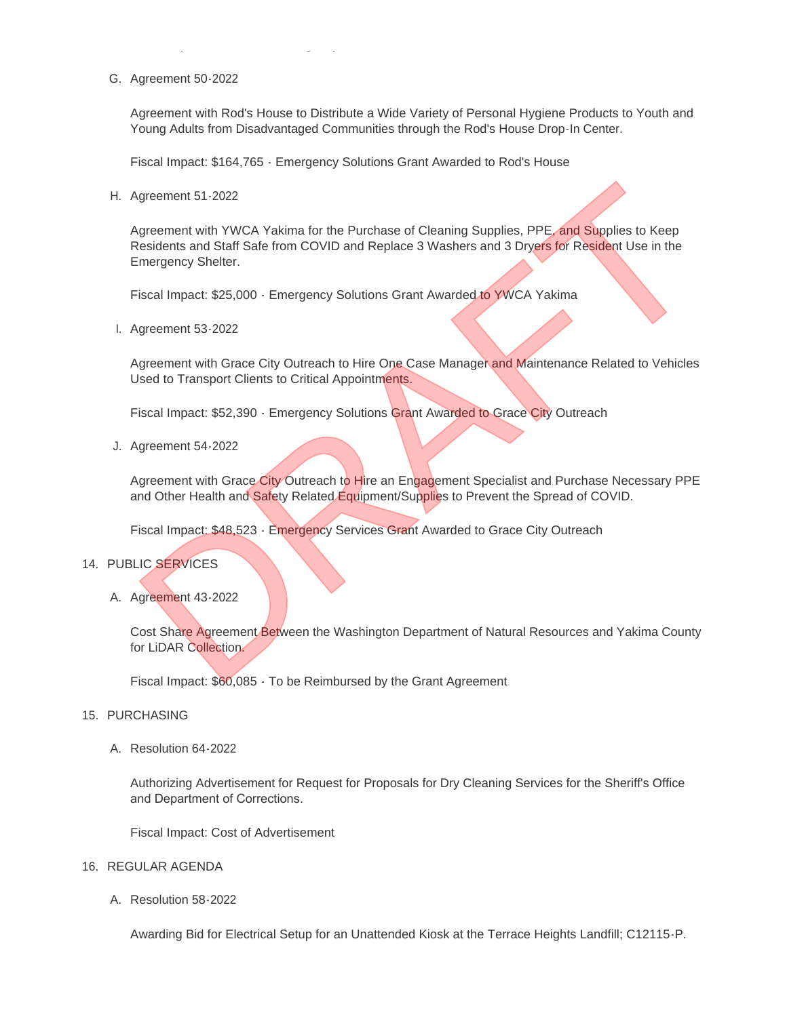G. Agreement 50-2022

Agreement with Rod's House to Distribute a Wide Variety of Personal Hygiene Products to Youth and Young Adults from Disadvantaged Communities through the Rod's House Drop-In Center.

Fiscal Impact: \$164,765 - Emergency Solutions Grant Awarded to Rod's House

Fiscal Impact: \$162,912 - Emergency Services Grant Awarded to Rod's House

H. Agreement 51-2022

Agreement with YWCA Yakima for the Purchase of Cleaning Supplies, PPE, and Supplies to Keep Residents and Staff Safe from COVID and Replace 3 Washers and 3 Dryers for Resident Use in the Emergency Shelter. Ngreement 51-2022<br>
Ngreement with YWCA Yakima for the Purchase of Cleaning Supplies, PPE, and Supplies to Keep<br>
Residents and Staff Safe from COVID and Replace 3 Washers and 3 Diversifor Resident Use in the<br>
memorgency She

Fiscal Impact: \$25,000 - Emergency Solutions Grant Awarded to YWCA Yakima

l. Agreement 53-2022

Agreement with Grace City Outreach to Hire One Case Manager and Maintenance Related to Vehicles Used to Transport Clients to Critical Appointments.

Fiscal Impact: \$52,390 - Emergency Solutions Grant Awarded to Grace City Outreach

Agreement 54-2022 J.

Agreement with Grace City Outreach to Hire an Engagement Specialist and Purchase Necessary PPE and Other Health and Safety Related Equipment/Supplies to Prevent the Spread of COVID.

Fiscal Impact: \$48,523 - Emergency Services Grant Awarded to Grace City Outreach

#### 14. PUBLIC SERVICES

A. Agreement 43-2022

Cost Share Agreement Between the Washington Department of Natural Resources and Yakima County for LiDAR Collection.

Fiscal Impact: \$60,085 - To be Reimbursed by the Grant Agreement

#### 15. PURCHASING

A. Resolution 64-2022

Authorizing Advertisement for Request for Proposals for Dry Cleaning Services for the Sheriff's Office and Department of Corrections.

Fiscal Impact: Cost of Advertisement

- 16. REGULAR AGENDA
	- A. Resolution 58-2022

Awarding Bid for Electrical Setup for an Unattended Kiosk at the Terrace Heights Landfill; C12115-P.